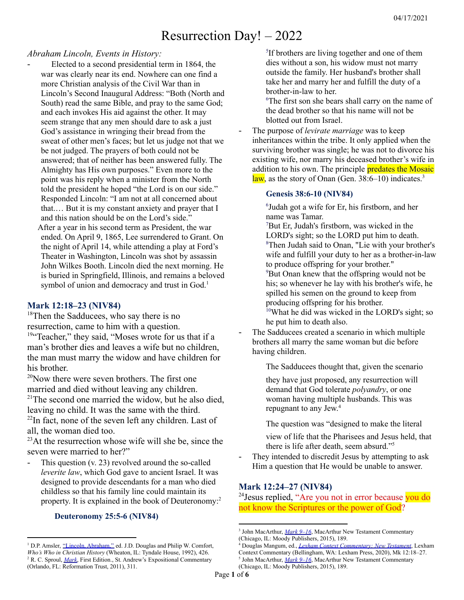# Resurrection Day! – 2022

### *Abraham Lincoln, Events in History:*

Elected to a second presidential term in 1864, the war was clearly near its end. Nowhere can one find a more Christian analysis of the Civil War than in Lincoln's Second Inaugural Address: "Both (North and South) read the same Bible, and pray to the same God; and each invokes His aid against the other. It may seem strange that any men should dare to ask a just God's assistance in wringing their bread from the sweat of other men's faces; but let us judge not that we be not judged. The prayers of both could not be answered; that of neither has been answered fully. The Almighty has His own purposes." Even more to the point was his reply when a minister from the North told the president he hoped "the Lord is on our side." Responded Lincoln: "I am not at all concerned about that.… But it is my constant anxiety and prayer that I and this nation should be on the Lord's side." After a year in his second term as President, the war ended. On April 9, 1865, Lee surrendered to Grant. On the night of April 14, while attending a play at Ford's Theater in Washington, Lincoln was shot by assassin John Wilkes Booth. Lincoln died the next morning. He is buried in Springfield, Illinois, and remains a beloved symbol of union and democracy and trust in God.<sup>1</sup>

### **Mark 12:18–23 (NIV84)**

<sup>18</sup>Then the Sadducees, who say there is no resurrection, came to him with a question. <sup>19"</sup>Teacher," they said, "Moses wrote for us that if a man's brother dies and leaves a wife but no children, the man must marry the widow and have children for his brother.

<sup>20</sup>Now there were seven brothers. The first one married and died without leaving any children.  $2^{1}$ The second one married the widow, but he also died, leaving no child. It was the same with the third.  $22$ In fact, none of the seven left any children. Last of all, the woman died too.

 $^{23}$ At the resurrection whose wife will she be, since the seven were married to her?"

This question  $(v. 23)$  revolved around the so-called *leverite law*, which God gave to ancient Israel. It was designed to provide descendants for a man who died childless so that his family line could maintain its property. It is explained in the book of Deuteronomy: 2

### **Deuteronomy 25:5-6 (NIV84)**

5 If brothers are living together and one of them dies without a son, his widow must not marry outside the family. Her husband's brother shall take her and marry her and fulfill the duty of a brother-in-law to her.

<sup>6</sup>The first son she bears shall carry on the name of the dead brother so that his name will not be blotted out from Israel.

The purpose of *levirate marriage* was to keep inheritances within the tribe. It only applied when the surviving brother was single; he was not to divorce his existing wife, nor marry his deceased brother's wife in addition to his own. The principle **predates the Mosaic** law, as the story of Onan (Gen. 38:6–10) indicates.<sup>3</sup>

### **Genesis 38:6-10 (NIV84)**

 $6$ Judah got a wife for Er, his firstborn, and her name was Tamar.

<sup>7</sup>But Er, Judah's firstborn, was wicked in the LORD's sight; so the LORD put him to death. <sup>8</sup>Then Judah said to Onan, "Lie with your brother's wife and fulfill your duty to her as a brother-in-law to produce offspring for your brother." <sup>9</sup>But Onan knew that the offspring would not be his; so whenever he lay with his brother's wife, he spilled his semen on the ground to keep from producing offspring for his brother. <sup>10</sup>What he did was wicked in the LORD's sight; so he put him to death also.

The Sadducees created a scenario in which multiple brothers all marry the same woman but die before having children.

The Sadducees thought that, given the scenario

they have just proposed, any resurrection will demand that God tolerate *polyandry*, or one woman having multiple husbands. This was repugnant to any Jew. 4

The question was "designed to make the literal

view of life that the Pharisees and Jesus held, that there is life after death, seem absurd." 5

They intended to discredit Jesus by attempting to ask Him a question that He would be unable to answer.

## **Mark 12:24–27 (NIV84)**

<sup>24</sup> Jesus replied, "Are you not in error because you do not know the Scriptures or the power of God?

<sup>2</sup> R. C. Sproul, *[Mark](https://ref.ly/logosres/marksproul?ref=Bible.Mk12.18-23&off=659&ctx=+wife%E2%80%9D+(vv.+18%E2%80%9323).%0a~This+question+revolv)*, First Edition., St. Andrew's Expositional Commentary (Orlando, FL: Reformation Trust, 2011), 311. <sup>1</sup> D.P. Amsler, "Lincoln, [Abraham,"](https://ref.ly/logosres/who?ref=Page.p+426&off=1168&ctx=+die+a+better+man.%E2%80%9D%0a~Elected+to+a+second+) ed. J.D. Douglas and Philip W. Comfort, *Who's Who in Christian History* (Wheaton, IL: Tyndale House, 1992), 426.

<sup>3</sup> John MacArthur, *[Mark](https://ref.ly/logosres/mntcmk2?ref=Bible.Mk12.19-23&off=1176&ctx=ed+out+from+Israel.%0a~The+purpose+of+levir) 9–16*, MacArthur New Testament Commentary (Chicago, IL: Moody Publishers, 2015), 189.

<sup>4</sup> Douglas Mangum, ed., *Lexham Context [Commentary:](https://ref.ly/logosres/cntxtcommnt?ref=BibleNRSV.Mk12.18-27&off=844&ctx=12%3a20%E2%80%9322+~The+Sadducees+construct+a+scena) New Testament*, Lexham Context Commentary (Bellingham, WA: Lexham Press, 2020), Mk 12:18–27.

<sup>5</sup> John MacArthur, *[Mark](https://ref.ly/logosres/mntcmk2?ref=Bible.Mk12.19-23&off=1875&ctx=thetical+situation%2c+~designed+to+make+the) 9–16*, MacArthur New Testament Commentary (Chicago, IL: Moody Publishers, 2015), 189.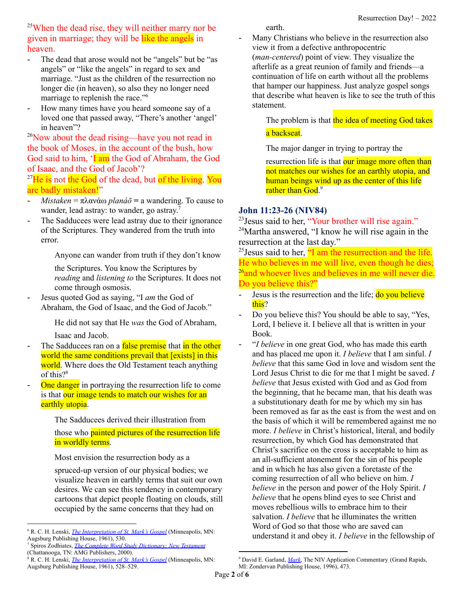$25$ When the dead rise, they will neither marry nor be given in marriage; they will be like the angels in heaven.

- The dead that arose would not be "angels" but be "as angels" or "like the angels" in regard to sex and marriage. "Just as the children of the resurrection no longer die (in heaven), so also they no longer need marriage to replenish the race." 6
- How many times have you heard someone say of a loved one that passed away, "There's another 'angel' in heaven"?

### <sup>26</sup>Now about the dead rising—have you not read in the book of Moses, in the account of the bush, how God said to him, 'I am the God of Abraham, the God of Isaac, and the God of Jacob'?

 $^{27}$ He is not the God of the dead, but of the living. You are badly mistaken!"

- $Mistaken = \pi\lambda\alpha\alpha\alpha\omega\ plane\alpha\overline{\alpha} = a\ wandering.$  To cause to wander, lead astray: to wander, go astray.<sup>7</sup>
- The Sadducees were lead astray due to their ignorance of the Scriptures. They wandered from the truth into error.

Anyone can wander from truth if they don't know

the Scriptures. You know the Scriptures by *reading* and *listening to* the Scriptures. It does not come through osmosis.

- Jesus quoted God as saying, "I *am* the God of Abraham, the God of Isaac, and the God of Jacob."

> He did not say that He *was* the God of Abraham, Isaac and Jacob.

- The Sadducees ran on a **false premise** that in the other world the same conditions prevail that [exists] in this world. Where does the Old Testament teach anything of this? 8
- One danger in portraying the resurrection life to come is that our image tends to match our wishes for an earthly utopia.

The Sadducees derived their illustration from

those who **painted pictures of the resurrection life** in worldly terms.

Most envision the resurrection body as a

spruced-up version of our physical bodies; we visualize heaven in earthly terms that suit our own desires. We can see this tendency in contemporary cartoons that depict people floating on clouds, still occupied by the same concerns that they had on

earth.

Many Christians who believe in the resurrection also view it from a defective anthropocentric (*man-centered*) point of view. They visualize the afterlife as a great reunion of family and friends—a continuation of life on earth without all the problems that hamper our happiness. Just analyze gospel songs that describe what heaven is like to see the truth of this statement.

> The problem is that the idea of meeting God takes a backseat.

The major danger in trying to portray the

resurrection life is that our image more often than not matches our wishes for an earthly utopia, and human beings wind up as the center of this life rather than God.<sup>9</sup>

## **John 11:23-26 (NIV84)**

<sup>23</sup> Jesus said to her, "Your brother will rise again." <sup>24</sup>Martha answered, "I know he will rise again in the resurrection at the last day."

 $25$  Jesus said to her,  $\frac{4}{1}$  am the resurrection and the life. He who believes in me will live, even though he dies;  $^{26}$ and whoever lives and believes in me will never die. Do you believe this?"

- Jesus is the resurrection and the life; do you believe this?
- Do you believe this? You should be able to say, "Yes, Lord, I believe it. I believe all that is written in your Book.
- "*I believe* in one great God, who has made this earth and has placed me upon it. *I believe* that I am sinful. *I believe* that this same God in love and wisdom sent the Lord Jesus Christ to die for me that I might be saved. *I believe* that Jesus existed with God and as God from the beginning, that he became man, that his death was a substitutionary death for me by which my sin has been removed as far as the east is from the west and on the basis of which it will be remembered against me no more. *I believe* in Christ's historical, literal, and bodily resurrection, by which God has demonstrated that Christ's sacrifice on the cross is acceptable to him as an all-sufficient atonement for the sin of his people and in which he has also given a foretaste of the coming resurrection of all who believe on him. *I believe* in the person and power of the Holy Spirit. *I believe* that he opens blind eyes to see Christ and moves rebellious wills to embrace him to their salvation. *I believe* that he illuminates the written Word of God so that those who are saved can understand it and obey it. *I believe* in the fellowship of

<sup>6</sup> R. C. H. Lenski, *The [Interpretation](https://ref.ly/logosres/lenski02?ref=Bible.Mk12.25&off=1167&ctx=hem+and+us+besides.+~Not+%E2%80%9Cangels%E2%80%9D+but+%E2%80%9Cas) of St. Mark's Gospel* (Minneapolis, MN: Augsburg Publishing House, 1961), 530.

<sup>7</sup> Spiros Zodhiates, *The Complete Word Study [Dictionary:](https://ref.ly/logosres/wsntdict?ref=GreekStrongs.4105&off=83&ctx=rom+pla%CC%81ne%CC%84+(4106)%2c+~a+wandering.+To+caus) New Testament* (Chattanooga, TN: AMG Publishers, 2000).

<sup>8</sup> R. C. H. Lenski, *The [Interpretation](https://ref.ly/logosres/lenski02?ref=Bible.Mk12.24&off=1660&ctx=+abuse+Moses%E2%80%99+word.+~The+Sadducees+run+in) of St. Mark's Gospel* (Minneapolis, MN: Augsburg Publishing House, 1961), 528–529.

<sup>9</sup> David E. Garland, *[Mark](https://ref.ly/logosres/nivac62mk?ref=Bible.Mk12.18-27&off=10664&ctx=keeps+his+promises.%0a~One+danger+in+portra)*, The NIV Application Commentary (Grand Rapids, MI: Zondervan Publishing House, 1996), 473.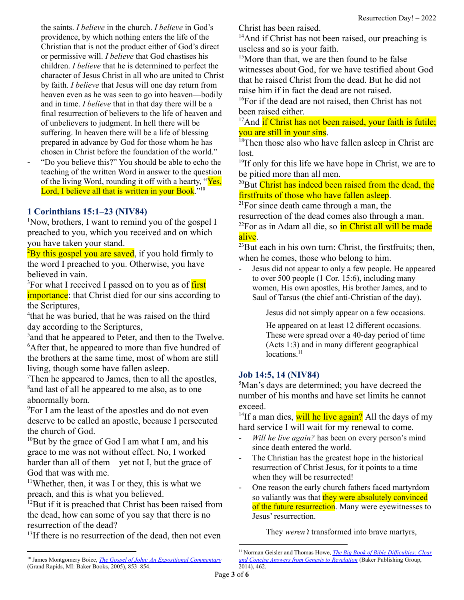the saints. *I believe* in the church. *I believe* in God's providence, by which nothing enters the life of the Christian that is not the product either of God's direct or permissive will. *I believe* that God chastises his children. *I believe* that he is determined to perfect the character of Jesus Christ in all who are united to Christ by faith. *I believe* that Jesus will one day return from heaven even as he was seen to go into heaven—bodily and in time. *I believe* that in that day there will be a final resurrection of believers to the life of heaven and of unbelievers to judgment. In hell there will be suffering. In heaven there will be a life of blessing prepared in advance by God for those whom he has chosen in Christ before the foundation of the world."

"Do you believe this?" You should be able to echo the teaching of the written Word in answer to the question of the living Word, rounding it off with a hearty,  $\sqrt{\gamma}$ es, Lord, I believe all that is written in your Book."<sup>10</sup>

# **1 Corinthians 15:1–23 (NIV84)**

<sup>1</sup>Now, brothers, I want to remind you of the gospel I preached to you, which you received and on which you have taken your stand.

 $^{2}$ By this gospel you are saved, if you hold firmly to the word I preached to you. Otherwise, you have believed in vain.

<sup>3</sup>For what I received I passed on to you as of first **importance**: that Christ died for our sins according to the Scriptures,

4 that he was buried, that he was raised on the third day according to the Scriptures,

<sup>5</sup> and that he appeared to Peter, and then to the Twelve. <sup>6</sup>After that, he appeared to more than five hundred of the brothers at the same time, most of whom are still living, though some have fallen asleep.

<sup>7</sup>Then he appeared to James, then to all the apostles, <sup>8</sup> and last of all he appeared to me also, as to one abnormally born.

<sup>9</sup>For I am the least of the apostles and do not even deserve to be called an apostle, because I persecuted the church of God.

 $10B$ ut by the grace of God I am what I am, and his grace to me was not without effect. No, I worked harder than all of them—yet not I, but the grace of God that was with me.

 $11$ Whether, then, it was I or they, this is what we preach, and this is what you believed.

<sup>12</sup>But if it is preached that Christ has been raised from the dead, how can some of you say that there is no resurrection of the dead?

<sup>13</sup>If there is no resurrection of the dead, then not even

Christ has been raised.

 $<sup>14</sup>$ And if Christ has not been raised, our preaching is</sup> useless and so is your faith.

<sup>15</sup>More than that, we are then found to be false witnesses about God, for we have testified about God that he raised Christ from the dead. But he did not raise him if in fact the dead are not raised.

<sup>16</sup>For if the dead are not raised, then Christ has not been raised either.

<sup>17</sup>And if Christ has not been raised, your faith is futile; you are still in your sins.

<sup>18</sup>Then those also who have fallen asleep in Christ are lost.

<sup>19</sup>If only for this life we have hope in Christ, we are to be pitied more than all men.

<sup>20</sup>But Christ has indeed been raised from the dead, the firstfruits of those who have fallen asleep.

 $2^{1}$ For since death came through a man, the

resurrection of the dead comes also through a man.

 $22$ For as in Adam all die, so in Christ all will be made alive.

 $^{23}$ But each in his own turn: Christ, the first fruits; then, when he comes, those who belong to him.

Jesus did not appear to only a few people. He appeared to over 500 people (1 Cor. 15:6), including many women, His own apostles, His brother James, and to Saul of Tarsus (the chief anti-Christian of the day).

Jesus did not simply appear on a few occasions.

He appeared on at least 12 different occasions. These were spread over a 40-day period of time (Acts 1:3) and in many different geographical locations.<sup>11</sup>

# **Job 14:5, 14 (NIV84)**

<sup>5</sup>Man's days are determined; you have decreed the number of his months and have set limits he cannot exceed.

<sup>14</sup>If a man dies, will he live again? All the days of my hard service I will wait for my renewal to come.

- *Will he live again?* has been on every person's mind since death entered the world.
- The Christian has the greatest hope in the historical resurrection of Christ Jesus, for it points to a time when they will be resurrected!
- One reason the early church fathers faced martyrdom so valiantly was that they were absolutely convinced of the future resurrection. Many were eyewitnesses to Jesus' resurrection.

They *weren't* transformed into brave martyrs,

<sup>10</sup> James Montgomery Boice, *The Gospel of John: An Expositional [Commentary](https://ref.ly/logosres/boicecm64cjn?ref=Bible.Jn11.17-26&off=13809&ctx=r+may+be+different.+~Do+you+believe+this%3f)* (Grand Rapids, MI: Baker Books, 2005), 853–854.

<sup>11</sup> Norman Geisler and Thomas Howe, *The Big Book of Bible Dif [iculties:](https://ref.ly/logosres/ws-3b54d8ca46394061bfc6eaafd0db1125?ref=Bible.1Co15.5-8&off=2037&ctx=tion%3a%0aFirst+of+all%2c+~Jesus+did+not+appear) Clear and Concise Answers from Genesis to [Revelation](https://ref.ly/logosres/ws-3b54d8ca46394061bfc6eaafd0db1125?ref=Bible.1Co15.5-8&off=2037&ctx=tion%3a%0aFirst+of+all%2c+~Jesus+did+not+appear)* (Baker Publishing Group, 2014), 462.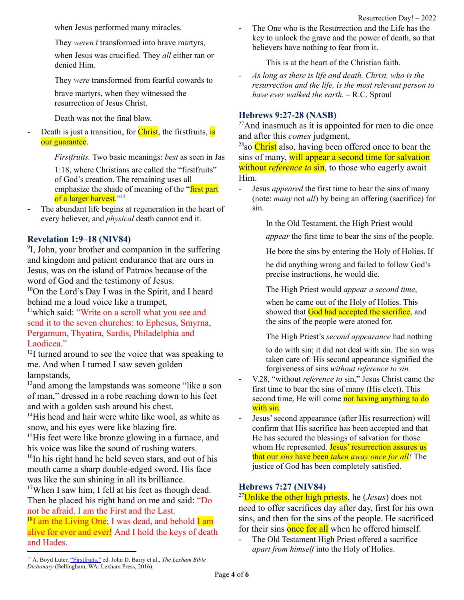when Jesus performed many miracles.

They *weren't* transformed into brave martyrs,

when Jesus was crucified. They *all* either ran or denied Him.

They *were* transformed from fearful cowards to

brave martyrs, when they witnessed the resurrection of Jesus Christ.

Death was not the final blow.

Death is just a transition, for Christ, the first fruits, is our guarantee.

*Firstfruits.* Two basic meanings: *best* as seen in Jas

1:18, where Christians are called the "firstfruits" of God's creation. The remaining uses all emphasize the shade of meaning of the "first part" of a larger harvest."<sup>12</sup>

The abundant life begins at regeneration in the heart of every believer, and *physical* death cannot end it.

# **Revelation 1:9–18 (NIV84)**

<sup>9</sup>I, John, your brother and companion in the suffering and kingdom and patient endurance that are ours in Jesus, was on the island of Patmos because of the word of God and the testimony of Jesus.

<sup>10</sup>On the Lord's Day I was in the Spirit, and I heard behind me a loud voice like a trumpet,

<sup>11</sup>which said: "Write on a scroll what you see and send it to the seven churches: to Ephesus, Smyrna, Pergamum, Thyatira, Sardis, Philadelphia and Laodicea."

<sup>12</sup>I turned around to see the voice that was speaking to me. And when I turned I saw seven golden lampstands,

<sup>13</sup> and among the lampstands was someone "like a son of man," dressed in a robe reaching down to his feet and with a golden sash around his chest.

<sup>14</sup>His head and hair were white like wool, as white as snow, and his eyes were like blazing fire.

<sup>15</sup>His feet were like bronze glowing in a furnace, and his voice was like the sound of rushing waters.

16 In his right hand he held seven stars, and out of his mouth came a sharp double-edged sword. His face was like the sun shining in all its brilliance.

<sup>17</sup>When I saw him, I fell at his feet as though dead. Then he placed his right hand on me and said: "Do not be afraid. I am the First and the Last.

<sup>18</sup>I am the Living One; I was dead, and behold I am alive for ever and ever! And I hold the keys of death and Hades.

The One who is the Resurrection and the Life has the key to unlock the grave and the power of death, so that believers have nothing to fear from it.

This is at the heart of the Christian faith.

*- As long as there is life and death, Christ, who is the resurrection and the life, is the most relevant person to have ever walked the earth. –* R.C. Sproul

## **Hebrews 9:27-28 (NASB)**

 $27$ And inasmuch as it is appointed for men to die once and after this *comes* judgment,

 $^{28}$ so Christ also, having been offered once to bear the sins of many, will appear a second time for salvation without *reference to* sin, to those who eagerly await Him.

- Jesus *appeared* the first time to bear the sins of many (note: *many* not *all*) by being an offering (sacrifice) for sin.

In the Old Testament, the High Priest would

*appear* the first time to bear the sins of the people.

He bore the sins by entering the Holy of Holies. If

he did anything wrong and failed to follow God's precise instructions, he would die.

The High Priest would *appear a second time*,

when he came out of the Holy of Holies. This showed that God had accepted the sacrifice, and the sins of the people were atoned for.

The High Priest's *second appearance* had nothing

to do with sin; it did not deal with sin. The sin was taken care of. His second appearance signified the forgiveness of sins *without reference to sin.*

- V.28, "without *reference to* sin," Jesus Christ came the first time to bear the sins of many (His elect). This second time, He will come not having anything to do with sin.
- Jesus'second appearance (after His resurrection) will confirm that His sacrifice has been accepted and that He has secured the blessings of salvation for those whom He represented. **Jesus' resurrection assures us** that our *sins* have been *taken away once for all!* The justice of God has been completely satisfied.

# **Hebrews 7:27 (NIV84)**

<sup>27</sup>Unlike the other high priests, he (*Jesus*) does not need to offer sacrifices day after day, first for his own sins, and then for the sins of the people. He sacrificed for their sins once for all when he offered himself.

- The Old Testament High Priest offered a sacrifice *apart from himself* into the Holy of Holies.

<sup>12</sup> A. Boyd Luter, ["Firstfruits,"](https://ref.ly/logosres/lbd?art=firstfruits.figurative_usage_in_the_old_testament&off=623&ctx=lled+%E2%80%9Cfirstfruits.%E2%80%9D+~The+nuance+of+best+f) ed. John D. Barry et al., *The Lexham Bible Dictionary* (Bellingham, WA: Lexham Press, 2016).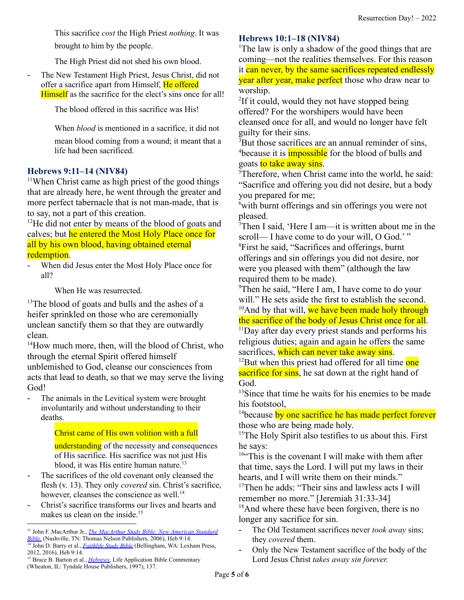This sacrifice *cost* the High Priest *nothing*. It was brought to him by the people.

The High Priest did not shed his own blood.

- The New Testament High Priest, Jesus Christ, did not offer a sacrifice apart from Himself, He offered Himself as the sacrifice for the elect's sins once for all!

The blood offered in this sacrifice was His!

When *blood* is mentioned in a sacrifice, it did not

mean blood coming from a wound; it meant that a life had been sacrificed.

### **Hebrews 9:11–14 (NIV84)**

<sup>11</sup>When Christ came as high priest of the good things that are already here, he went through the greater and more perfect tabernacle that is not man-made, that is to say, not a part of this creation.

 $12$ He did not enter by means of the blood of goats and calves; but he entered the Most Holy Place once for all by his own blood, having obtained eternal redemption.

- When did Jesus enter the Most Holy Place once for all?

When He was resurrected.

<sup>13</sup>The blood of goats and bulls and the ashes of a heifer sprinkled on those who are ceremonially unclean sanctify them so that they are outwardly clean.

<sup>14</sup>How much more, then, will the blood of Christ, who through the eternal Spirit offered himself unblemished to God, cleanse our consciences from acts that lead to death, so that we may serve the living God!

The animals in the Levitical system were brought involuntarily and without understanding to their deaths.

## Christ came of His own volition with a full

understanding of the necessity and consequences of His sacrifice. His sacrifice was not just His blood, it was His entire human nature. 13

- The sacrifices of the old covenant only cleansed the flesh (v. 13). They only *covered* sin. Christ's sacrifice, however, cleanses the conscience as well.<sup>14</sup>
- Christ's sacrifice transforms our lives and hearts and makes us clean on the inside.<sup>15</sup>

# **Hebrews 10:1–18 (NIV84)**

<sup>1</sup>The law is only a shadow of the good things that are coming—not the realities themselves. For this reason it can never, by the same sacrifices repeated endlessly year after year, make perfect those who draw near to worship.

<sup>2</sup>If it could, would they not have stopped being offered? For the worshipers would have been cleansed once for all, and would no longer have felt guilty for their sins.

<sup>3</sup>But those sacrifices are an annual reminder of sins, <sup>4</sup>because it is **impossible** for the blood of bulls and goats to take away sins.

<sup>5</sup>Therefore, when Christ came into the world, he said: "Sacrifice and offering you did not desire, but a body you prepared for me;

<sup>6</sup> with burnt offerings and sin offerings you were not pleased.

 $7$ Then I said, 'Here I am—it is written about me in the scroll— I have come to do your will, O God.'" <sup>8</sup>First he said, "Sacrifices and offerings, burnt offerings and sin offerings you did not desire, nor were you pleased with them" (although the law required them to be made).

<sup>9</sup>Then he said, "Here I am, I have come to do your will." He sets aside the first to establish the second.  $10$ And by that will, we have been made holy through the sacrifice of the body of Jesus Christ once for all.

 $11$ Day after day every priest stands and performs his religious duties; again and again he offers the same sacrifices, which can never take away sins.

<sup>12</sup>But when this priest had offered for all time one sacrifice for sins, he sat down at the right hand of God.

 $13$ Since that time he waits for his enemies to be made his footstool,

<sup>14</sup>because by one sacrifice he has made perfect forever those who are being made holy.

<sup>15</sup>The Holy Spirit also testifies to us about this. First he says:

<sup>16"</sup>This is the covenant I will make with them after that time, says the Lord. I will put my laws in their hearts, and I will write them on their minds."

<sup>17</sup>Then he adds: "Their sins and lawless acts I will remember no more." [Jeremiah 31:33-34]

<sup>18</sup>And where these have been forgiven, there is no longer any sacrifice for sin.

- The Old Testament sacrifices never *took away* sins; they *covered* them.
- Only the New Testament sacrifice of the body of the Lord Jesus Christ *takes away sin forever.*

<sup>&</sup>lt;sup>14</sup> John D. Barry et al., *[Faithlife](https://ref.ly/logosres/fsb?ref=Bible.Heb9.14&off=540&ctx=+Heb+10%3a22%3b+13%3a18).+~The+sacrifices+of+th) Study Bible* (Bellingham, WA: Lexham Press, <sup>13</sup> John F. MacArthur Jr., *The [MacArthur](https://ref.ly/logosres/macartsbnasb?ref=Bible.Heb9.14&off=1014&ctx=v.+7%3b+Jn+10%3a17%2c+18.+~The+animals+in+the+L) Study Bible: New American Standard [Bible.](https://ref.ly/logosres/macartsbnasb?ref=Bible.Heb9.14&off=1014&ctx=v.+7%3b+Jn+10%3a17%2c+18.+~The+animals+in+the+L)* (Nashville, TN: Thomas Nelson Publishers, 2006), Heb 9:14.

<sup>&</sup>lt;sup>15</sup> Bruce B. Barton et al., *[Hebrews](https://ref.ly/logosres/lifeappheb?ref=Bible.Heb9.14&off=1914&ctx=+Testament+law.+But+~Christ%E2%80%99s+sacrifice+t)*, Life Application Bible Commentary 2012, 2016), Heb 9:14.

<sup>(</sup>Wheaton, IL: Tyndale House Publishers, 1997), 137.